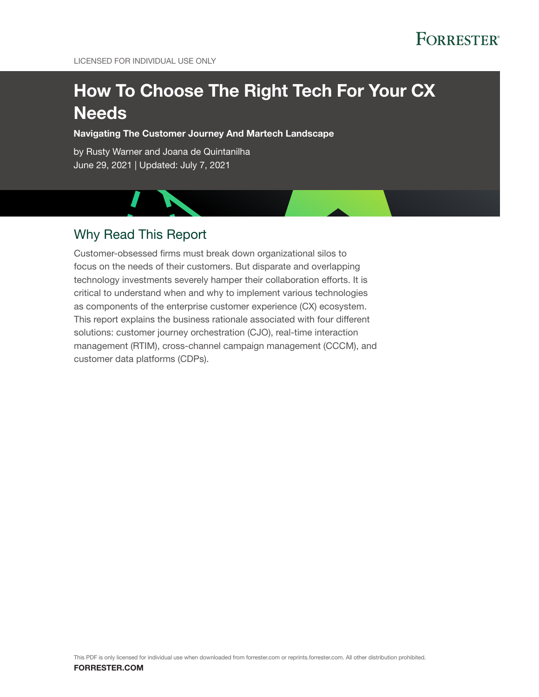LICENSED FOR INDIVIDUAL USE ONLY

# How To Choose The Right Tech For Your CX **Needs**

Navigating The Customer Journey And Martech Landscape

by Rusty Warner and Joana de Quintanilha June 29, 2021 | Updated: July 7, 2021

# Why Read This Report

Customer-obsessed firms must break down organizational silos to focus on the needs of their customers. But disparate and overlapping technology investments severely hamper their collaboration efforts. It is critical to understand when and why to implement various technologies as components of the enterprise customer experience (CX) ecosystem. This report explains the business rationale associated with four different solutions: customer journey orchestration (CJO), real-time interaction management (RTIM), cross-channel campaign management (CCCM), and customer data platforms (CDPs).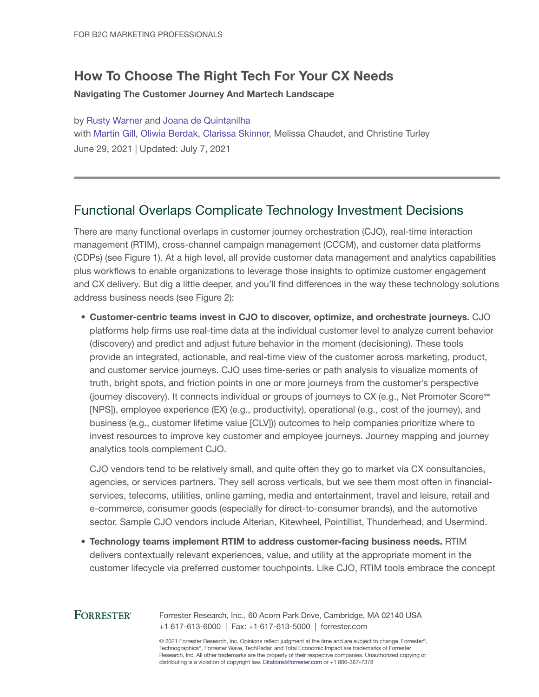# How To Choose The Right Tech For Your CX Needs

#### Navigating The Customer Journey And Martech Landscape

by [Rusty Warner](http://www.forrester.com/go?objectid=BIO7824) and [Joana de Quintanilha](http://www.forrester.com/go?objectid=BIO7184) with [Martin Gill,](http://www.forrester.com/go?objectid=BIO2700) [Oliwia Berdak,](http://www.forrester.com/go?objectid=BIO7204) [Clarissa Skinner](http://www.forrester.com/go?objectid=BIO14244), Melissa Chaudet, and Christine Turley June 29, 2021 | Updated: July 7, 2021

# Functional Overlaps Complicate Technology Investment Decisions

There are many functional overlaps in customer journey orchestration (CJO), real-time interaction management (RTIM), cross-channel campaign management (CCCM), and customer data platforms (CDPs) (see Figure 1). At a high level, all provide customer data management and analytics capabilities plus workflows to enable organizations to leverage those insights to optimize customer engagement and CX delivery. But dig a little deeper, and you'll find differences in the way these technology solutions address business needs (see Figure 2):

• Customer-centric teams invest in CJO to discover, optimize, and orchestrate journeys. CJO platforms help firms use real-time data at the individual customer level to analyze current behavior (discovery) and predict and adjust future behavior in the moment (decisioning). These tools provide an integrated, actionable, and real-time view of the customer across marketing, product, and customer service journeys. CJO uses time-series or path analysis to visualize moments of truth, bright spots, and friction points in one or more journeys from the customer's perspective (journey discovery). It connects individual or groups of journeys to CX (e.g., Net Promoter Score℠ [NPS]), employee experience (EX) (e.g., productivity), operational (e.g., cost of the journey), and business (e.g., customer lifetime value [CLV])) outcomes to help companies prioritize where to invest resources to improve key customer and employee journeys. Journey mapping and journey analytics tools complement CJO.

CJO vendors tend to be relatively small, and quite often they go to market via CX consultancies, agencies, or services partners. They sell across verticals, but we see them most often in financialservices, telecoms, utilities, online gaming, media and entertainment, travel and leisure, retail and e-commerce, consumer goods (especially for direct-to-consumer brands), and the automotive sector. Sample CJO vendors include Alterian, Kitewheel, Pointillist, Thunderhead, and Usermind.

• Technology teams implement RTIM to address customer-facing business needs. RTIM delivers contextually relevant experiences, value, and utility at the appropriate moment in the customer lifecycle via preferred customer touchpoints. Like CJO, RTIM tools embrace the concept

## **FORRESTER®**

Forrester Research, Inc., 60 Acorn Park Drive, Cambridge, MA 02140 USA +1 617-613-6000 | Fax: +1 617-613-5000 | forrester.com

© 2021 Forrester Research, Inc. Opinions reflect judgment at the time and are subject to change. Forrester®, Technographics®, Forrester Wave, TechRadar, and Total Economic Impact are trademarks of Forrester Research, Inc. All other trademarks are the property of their respective companies. Unauthorized copying or distributing is a violation of copyright law. Citations@forrester.com or +1 866-367-7378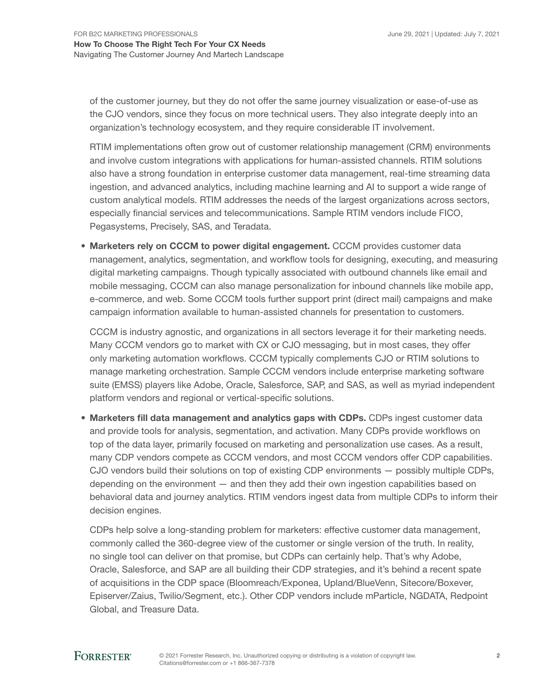of the customer journey, but they do not offer the same journey visualization or ease-of-use as the CJO vendors, since they focus on more technical users. They also integrate deeply into an organization's technology ecosystem, and they require considerable IT involvement.

RTIM implementations often grow out of customer relationship management (CRM) environments and involve custom integrations with applications for human-assisted channels. RTIM solutions also have a strong foundation in enterprise customer data management, real-time streaming data ingestion, and advanced analytics, including machine learning and AI to support a wide range of custom analytical models. RTIM addresses the needs of the largest organizations across sectors, especially financial services and telecommunications. Sample RTIM vendors include FICO, Pegasystems, Precisely, SAS, and Teradata.

• Marketers rely on CCCM to power digital engagement. CCCM provides customer data management, analytics, segmentation, and workflow tools for designing, executing, and measuring digital marketing campaigns. Though typically associated with outbound channels like email and mobile messaging, CCCM can also manage personalization for inbound channels like mobile app, e-commerce, and web. Some CCCM tools further support print (direct mail) campaigns and make campaign information available to human-assisted channels for presentation to customers.

CCCM is industry agnostic, and organizations in all sectors leverage it for their marketing needs. Many CCCM vendors go to market with CX or CJO messaging, but in most cases, they offer only marketing automation workflows. CCCM typically complements CJO or RTIM solutions to manage marketing orchestration. Sample CCCM vendors include enterprise marketing software suite (EMSS) players like Adobe, Oracle, Salesforce, SAP, and SAS, as well as myriad independent platform vendors and regional or vertical-specific solutions.

• Marketers fill data management and analytics gaps with CDPs. CDPs ingest customer data and provide tools for analysis, segmentation, and activation. Many CDPs provide workflows on top of the data layer, primarily focused on marketing and personalization use cases. As a result, many CDP vendors compete as CCCM vendors, and most CCCM vendors offer CDP capabilities. CJO vendors build their solutions on top of existing CDP environments — possibly multiple CDPs, depending on the environment — and then they add their own ingestion capabilities based on behavioral data and journey analytics. RTIM vendors ingest data from multiple CDPs to inform their decision engines.

CDPs help solve a long-standing problem for marketers: effective customer data management, commonly called the 360-degree view of the customer or single version of the truth. In reality, no single tool can deliver on that promise, but CDPs can certainly help. That's why Adobe, Oracle, Salesforce, and SAP are all building their CDP strategies, and it's behind a recent spate of acquisitions in the CDP space (Bloomreach/Exponea, Upland/BlueVenn, Sitecore/Boxever, Episerver/Zaius, Twilio/Segment, etc.). Other CDP vendors include mParticle, NGDATA, Redpoint Global, and Treasure Data.

## **FORRESTER®**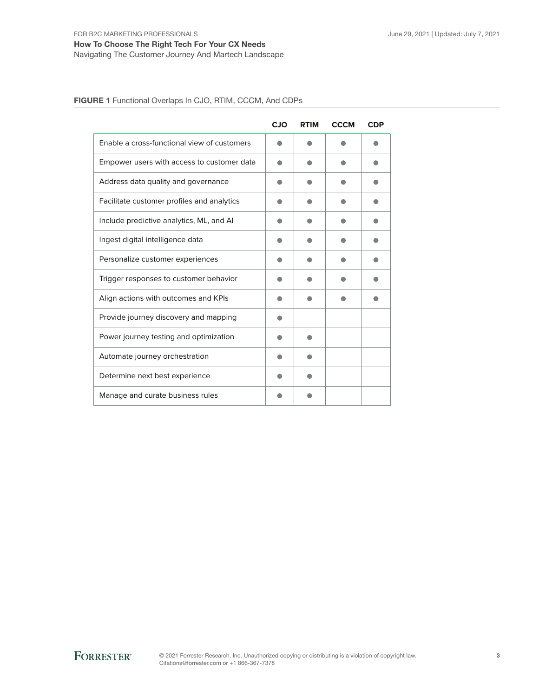### How To Choose The Right Tech For Your CX Needs Navigating The Customer Journey And Martech Landscape

FIGURE 1 Functional Overlaps In CJO, RTIM, CCCM, And CDPs

|                                             | <b>CJO</b> | <b>RTIM</b> | <b>CCCM</b> | <b>CDP</b> |
|---------------------------------------------|------------|-------------|-------------|------------|
| Enable a cross-functional view of customers |            |             |             |            |
| Empower users with access to customer data  |            |             |             |            |
| Address data quality and governance         |            |             |             |            |
| Facilitate customer profiles and analytics  |            |             |             |            |
| Include predictive analytics, ML, and AI    |            |             |             |            |
| Ingest digital intelligence data            |            |             |             |            |
| Personalize customer experiences            |            |             |             |            |
| Trigger responses to customer behavior      |            |             |             |            |
| Align actions with outcomes and KPIs        |            |             |             |            |
| Provide journey discovery and mapping       |            |             |             |            |
| Power journey testing and optimization      |            |             |             |            |
| Automate journey orchestration              |            |             |             |            |
| Determine next best experience              |            |             |             |            |
| Manage and curate business rules            |            |             |             |            |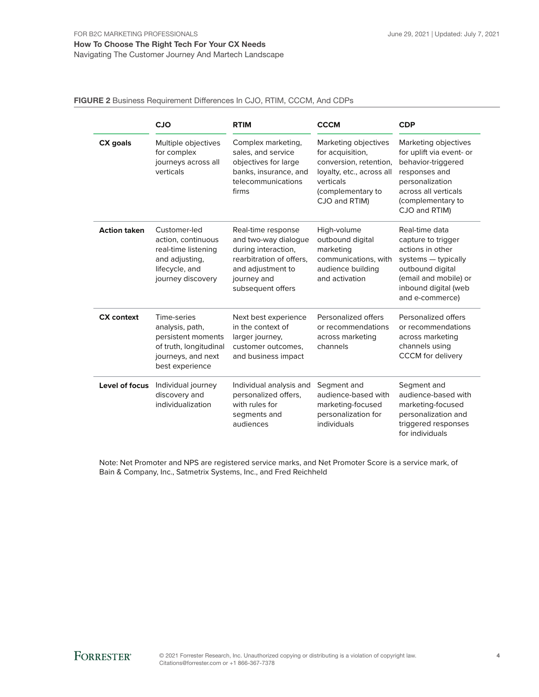Navigating The Customer Journey And Martech Landscape

#### FIGURE 2 Business Requirement Differences In CJO, RTIM, CCCM, And CDPs

|                     | <b>CJO</b>                                                                                                              | <b>RTIM</b>                                                                                                                                                                                                                                                                    | <b>CCCM</b>                                                                                                 | <b>CDP</b>                                                                                                                                                               |  |
|---------------------|-------------------------------------------------------------------------------------------------------------------------|--------------------------------------------------------------------------------------------------------------------------------------------------------------------------------------------------------------------------------------------------------------------------------|-------------------------------------------------------------------------------------------------------------|--------------------------------------------------------------------------------------------------------------------------------------------------------------------------|--|
| CX goals            | Multiple objectives<br>for complex<br>journeys across all<br>verticals                                                  | Marketing objectives<br>Complex marketing,<br>sales, and service<br>for acquisition,<br>conversion, retention,<br>objectives for large<br>banks, insurance, and<br>loyalty, etc., across all<br>telecommunications<br>verticals<br>(complementary to<br>firms<br>CJO and RTIM) |                                                                                                             | Marketing objectives<br>for uplift via event- or<br>behavior-triggered<br>responses and<br>personalization<br>across all verticals<br>(complementary to<br>CJO and RTIM) |  |
| <b>Action taken</b> | Customer-led<br>action, continuous<br>real-time listening<br>and adjusting,<br>lifecycle, and<br>journey discovery      | Real-time response<br>and two-way dialogue<br>during interaction,<br>rearbitration of offers,<br>and adjustment to<br>journey and<br>subsequent offers                                                                                                                         | High-volume<br>outbound digital<br>marketing<br>communications, with<br>audience building<br>and activation | Real-time data<br>capture to trigger<br>actions in other<br>systems - typically<br>outbound digital<br>(email and mobile) or<br>inbound digital (web<br>and e-commerce)  |  |
| <b>CX</b> context   | Time-series<br>analysis, path,<br>persistent moments<br>of truth, longitudinal<br>journeys, and next<br>best experience | Next best experience<br>in the context of<br>larger journey,<br>customer outcomes.<br>and business impact                                                                                                                                                                      | Personalized offers<br>or recommendations<br>across marketing<br>channels                                   | Personalized offers<br>or recommendations<br>across marketing<br>channels using<br><b>CCCM</b> for delivery                                                              |  |
| Level of focus      | Individual journey<br>discovery and<br>individualization                                                                | Individual analysis and<br>personalized offers,<br>with rules for<br>segments and<br>audiences                                                                                                                                                                                 | Segment and<br>audience-based with<br>marketing-focused<br>personalization for<br>individuals               | Segment and<br>audience-based with<br>marketing-focused<br>personalization and<br>triggered responses<br>for individuals                                                 |  |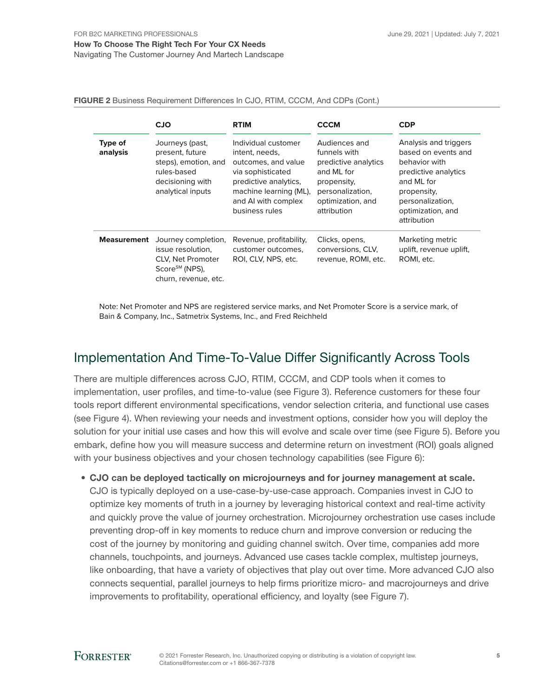FIGURE 2 Business Requirement Differences In CJO, RTIM, CCCM, And CDPs (Cont.)

|                     | <b>CJO</b>                                                                                                          | <b>RTIM</b>                                                                                                                                                                   | <b>CCCM</b>                                                                                                                                | <b>CDP</b>                                                                                                                                                                 |
|---------------------|---------------------------------------------------------------------------------------------------------------------|-------------------------------------------------------------------------------------------------------------------------------------------------------------------------------|--------------------------------------------------------------------------------------------------------------------------------------------|----------------------------------------------------------------------------------------------------------------------------------------------------------------------------|
| Type of<br>analysis | Journeys (past,<br>present, future<br>steps), emotion, and<br>rules-based<br>decisioning with<br>analytical inputs  | Individual customer<br>intent, needs,<br>outcomes, and value<br>via sophisticated<br>predictive analytics,<br>machine learning (ML),<br>and AI with complex<br>business rules | Audiences and<br>funnels with<br>predictive analytics<br>and ML for<br>propensity,<br>personalization,<br>optimization, and<br>attribution | Analysis and triggers<br>based on events and<br>behavior with<br>predictive analytics<br>and ML for<br>propensity,<br>personalization,<br>optimization, and<br>attribution |
| Measurement         | Journey completion,<br>issue resolution.<br>CLV, Net Promoter<br>Score <sup>SM</sup> (NPS),<br>churn, revenue, etc. | Revenue, profitability,<br>customer outcomes,<br>ROI, CLV, NPS, etc.                                                                                                          | Clicks, opens,<br>conversions, CLV,<br>revenue, ROMI, etc.                                                                                 | Marketing metric<br>uplift, revenue uplift,<br>ROMI, etc.                                                                                                                  |

Note: Net Promoter and NPS are registered service marks, and Net Promoter Score is a service mark, of Bain & Company, Inc., Satmetrix Systems, Inc., and Fred Reichheld

## Implementation And Time-To-Value Differ Significantly Across Tools

There are multiple differences across CJO, RTIM, CCCM, and CDP tools when it comes to implementation, user profiles, and time-to-value (see Figure 3). Reference customers for these four tools report different environmental specifications, vendor selection criteria, and functional use cases (see Figure 4). When reviewing your needs and investment options, consider how you will deploy the solution for your initial use cases and how this will evolve and scale over time (see Figure 5). Before you embark, define how you will measure success and determine return on investment (ROI) goals aligned with your business objectives and your chosen technology capabilities (see Figure 6):

• CJO can be deployed tactically on microjourneys and for journey management at scale. CJO is typically deployed on a use-case-by-use-case approach. Companies invest in CJO to optimize key moments of truth in a journey by leveraging historical context and real-time activity and quickly prove the value of journey orchestration. Microjourney orchestration use cases include preventing drop-off in key moments to reduce churn and improve conversion or reducing the cost of the journey by monitoring and guiding channel switch. Over time, companies add more channels, touchpoints, and journeys. Advanced use cases tackle complex, multistep journeys, like onboarding, that have a variety of objectives that play out over time. More advanced CJO also connects sequential, parallel journeys to help firms prioritize micro- and macrojourneys and drive improvements to profitability, operational efficiency, and loyalty (see Figure 7).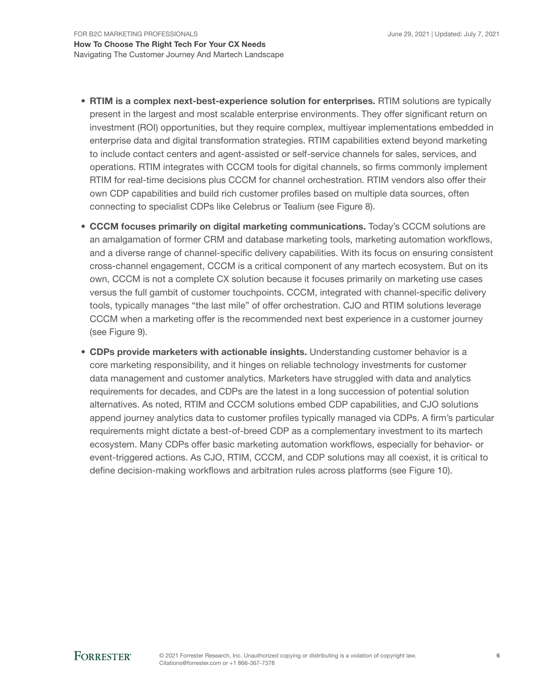- RTIM is a complex next-best-experience solution for enterprises. RTIM solutions are typically present in the largest and most scalable enterprise environments. They offer significant return on investment (ROI) opportunities, but they require complex, multiyear implementations embedded in enterprise data and digital transformation strategies. RTIM capabilities extend beyond marketing to include contact centers and agent-assisted or self-service channels for sales, services, and operations. RTIM integrates with CCCM tools for digital channels, so firms commonly implement RTIM for real-time decisions plus CCCM for channel orchestration. RTIM vendors also offer their own CDP capabilities and build rich customer profiles based on multiple data sources, often connecting to specialist CDPs like Celebrus or Tealium (see Figure 8).
- CCCM focuses primarily on digital marketing communications. Today's CCCM solutions are an amalgamation of former CRM and database marketing tools, marketing automation workflows, and a diverse range of channel-specific delivery capabilities. With its focus on ensuring consistent cross-channel engagement, CCCM is a critical component of any martech ecosystem. But on its own, CCCM is not a complete CX solution because it focuses primarily on marketing use cases versus the full gambit of customer touchpoints. CCCM, integrated with channel-specific delivery tools, typically manages "the last mile" of offer orchestration. CJO and RTIM solutions leverage CCCM when a marketing offer is the recommended next best experience in a customer journey (see Figure 9).
- CDPs provide marketers with actionable insights. Understanding customer behavior is a core marketing responsibility, and it hinges on reliable technology investments for customer data management and customer analytics. Marketers have struggled with data and analytics requirements for decades, and CDPs are the latest in a long succession of potential solution alternatives. As noted, RTIM and CCCM solutions embed CDP capabilities, and CJO solutions append journey analytics data to customer profiles typically managed via CDPs. A firm's particular requirements might dictate a best-of-breed CDP as a complementary investment to its martech ecosystem. Many CDPs offer basic marketing automation workflows, especially for behavior- or event-triggered actions. As CJO, RTIM, CCCM, and CDP solutions may all coexist, it is critical to define decision-making workflows and arbitration rules across platforms (see Figure 10).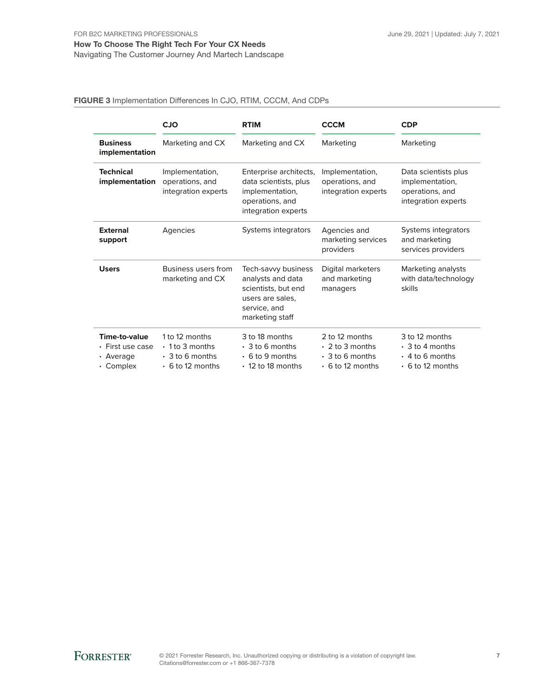#### How To Choose The Right Tech For Your CX Needs Navigating The Customer Journey And Martech Landscape

#### FIGURE 3 Implementation Differences In CJO, RTIM, CCCM, And CDPs

|                                                                         | <b>CJO</b>                                                                                 | <b>RTIM</b>                                                                                                            | <b>CCCM</b>                                                                                | <b>CDP</b>                                                                                 |
|-------------------------------------------------------------------------|--------------------------------------------------------------------------------------------|------------------------------------------------------------------------------------------------------------------------|--------------------------------------------------------------------------------------------|--------------------------------------------------------------------------------------------|
| <b>Business</b><br>implementation                                       | Marketing and CX                                                                           | Marketing and CX<br>Marketing                                                                                          |                                                                                            | Marketing                                                                                  |
| <b>Technical</b><br>implementation                                      | Implementation,<br>operations, and<br>integration experts                                  | Enterprise architects,<br>data scientists, plus<br>implementation,<br>operations, and<br>integration experts           | Implementation,<br>operations, and<br>integration experts                                  | Data scientists plus<br>implementation,<br>operations, and<br>integration experts          |
| <b>External</b><br>support                                              | Agencies                                                                                   | Systems integrators                                                                                                    | Agencies and<br>marketing services<br>providers                                            | Systems integrators<br>and marketing<br>services providers                                 |
| <b>Users</b>                                                            | Business users from<br>marketing and CX                                                    | Tech-savvy business<br>analysts and data<br>scientists, but end<br>users are sales.<br>service, and<br>marketing staff | Digital marketers<br>and marketing<br>managers                                             | Marketing analysts<br>with data/technology<br>skills                                       |
| Time-to-value<br>$\cdot$ First use case<br>• Average<br>$\cdot$ Complex | 1 to 12 months<br>$\cdot$ 1 to 3 months<br>$\cdot$ 3 to 6 months<br>$\cdot$ 6 to 12 months | 3 to 18 months<br>$\cdot$ 3 to 6 months<br>$\cdot$ 6 to 9 months<br>$\cdot$ 12 to 18 months                            | 2 to 12 months<br>$\cdot$ 2 to 3 months<br>$\cdot$ 3 to 6 months<br>$\cdot$ 6 to 12 months | 3 to 12 months<br>$\cdot$ 3 to 4 months<br>$\cdot$ 4 to 6 months<br>$\cdot$ 6 to 12 months |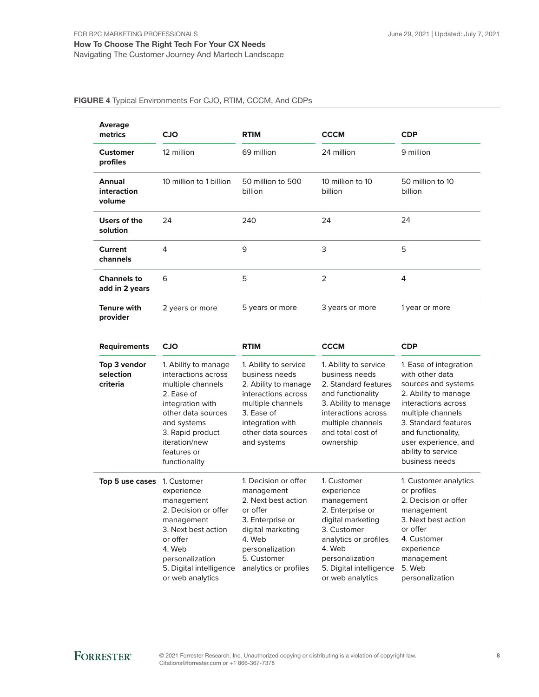#### How To Choose The Right Tech For Your CX Needs Navigating The Customer Journey And Martech Landscape

#### FIGURE 4 Typical Environments For CJO, RTIM, CCCM, And CDPs

| Average<br>metrics                   | <b>CJO</b>              | <b>RTIM</b>                  | <b>CCCM</b>                 | <b>CDP</b>                  |
|--------------------------------------|-------------------------|------------------------------|-----------------------------|-----------------------------|
| <b>Customer</b><br>profiles          | 12 million              | 69 million                   | 24 million                  | 9 million                   |
| Annual<br>interaction<br>volume      | 10 million to 1 billion | 50 million to 500<br>billion | 10 million to 10<br>billion | 50 million to 10<br>billion |
| Users of the<br>solution             | 24                      | 240                          | 24                          | 24                          |
| Current<br>channels                  | 4                       | 9                            | 3                           | 5                           |
| <b>Channels to</b><br>add in 2 years | 6                       | 5                            | 2                           | 4                           |
| <b>Tenure with</b><br>provider       | 2 years or more         | 5 years or more              | 3 years or more             | 1 year or more              |

| <b>Requirements</b>                   | <b>CJO</b>                                                                                                                                                                                                                                                                                                                                                                                         | <b>RTIM</b>                                                                                                                                                                         | <b>CCCM</b>                                                                                                                                                                                          | <b>CDP</b>                                                                                                                                                                                                                                         |  |
|---------------------------------------|----------------------------------------------------------------------------------------------------------------------------------------------------------------------------------------------------------------------------------------------------------------------------------------------------------------------------------------------------------------------------------------------------|-------------------------------------------------------------------------------------------------------------------------------------------------------------------------------------|------------------------------------------------------------------------------------------------------------------------------------------------------------------------------------------------------|----------------------------------------------------------------------------------------------------------------------------------------------------------------------------------------------------------------------------------------------------|--|
| Top 3 vendor<br>selection<br>criteria | 1. Ability to manage<br>1. Ability to service<br>business needs<br>interactions across<br>multiple channels<br>2. Ability to manage<br>2. Ease of<br>interactions across<br>multiple channels<br>integration with<br>other data sources<br>3. Ease of<br>integration with<br>and systems<br>3. Rapid product<br>other data sources<br>iteration/new<br>and systems<br>features or<br>functionality |                                                                                                                                                                                     | 1. Ability to service<br>business needs<br>2. Standard features<br>and functionality<br>3. Ability to manage<br>interactions across<br>multiple channels<br>and total cost of<br>ownership           | 1. Ease of integration<br>with other data<br>sources and systems<br>2. Ability to manage<br>interactions across<br>multiple channels<br>3. Standard features<br>and functionality,<br>user experience, and<br>ability to service<br>business needs |  |
| Top 5 use cases                       | 1. Customer<br>experience<br>management<br>2. Decision or offer<br>management<br>3. Next best action<br>or offer<br>4. Web<br>personalization<br>5. Digital intelligence<br>or web analytics                                                                                                                                                                                                       | 1. Decision or offer<br>management<br>2. Next best action<br>or offer<br>3. Enterprise or<br>digital marketing<br>4. Web<br>personalization<br>5. Customer<br>analytics or profiles | 1. Customer<br>experience<br>management<br>2. Enterprise or<br>digital marketing<br>3. Customer<br>analytics or profiles<br>4. Web<br>personalization<br>5. Digital intelligence<br>or web analytics | 1. Customer analytics<br>or profiles<br>2. Decision or offer<br>management<br>3. Next best action<br>or offer<br>4. Customer<br>experience<br>management<br>5. Web<br>personalization                                                              |  |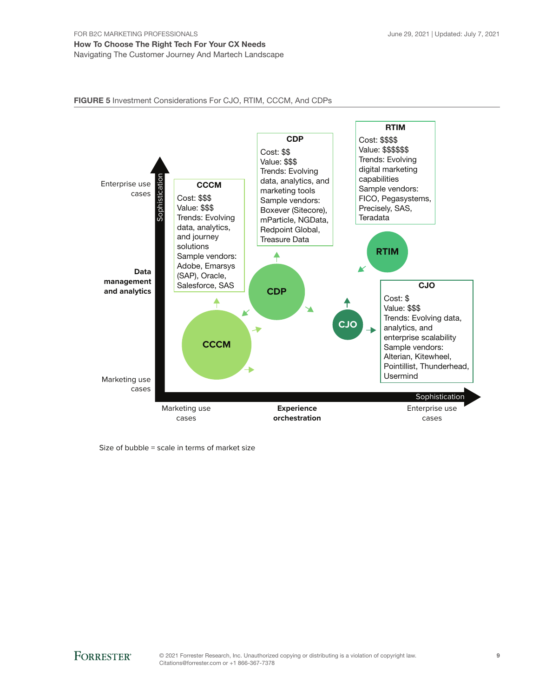#### FIGURE 5 Investment Considerations For CJO, RTIM, CCCM, And CDPs



Size of bubble = scale in terms of market size

**FORRESTER®**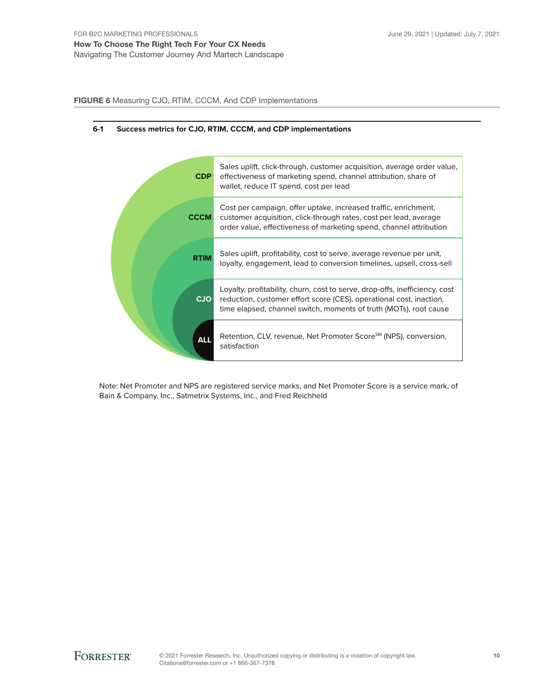FIGURE 6 Measuring CJO, RTIM, CCCM, And CDP Implementations



#### **6-1 Success metrics for CJO, RTIM, CCCM, and CDP implementations**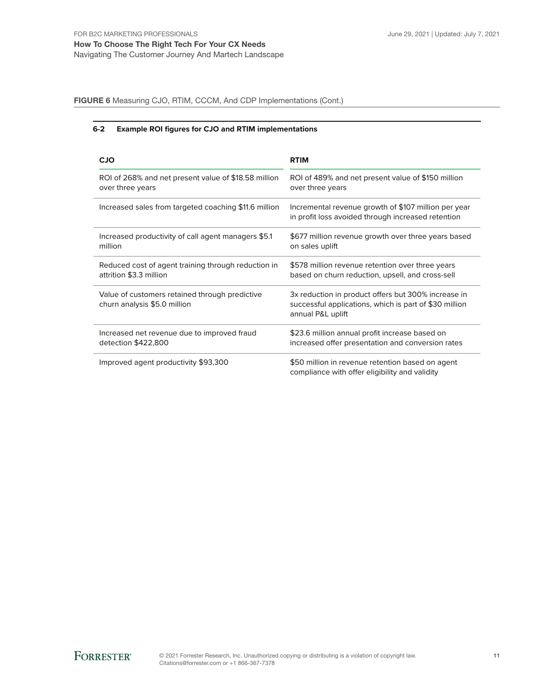FIGURE 6 Measuring CJO, RTIM, CCCM, And CDP Implementations (Cont.)

#### **6-2 Example ROI figures for CJO and RTIM implementations**

| <b>CJO</b>                                                                     | <b>RTIM</b>                                                                                                                        |
|--------------------------------------------------------------------------------|------------------------------------------------------------------------------------------------------------------------------------|
| ROI of 268% and net present value of \$18.58 million                           | ROI of 489% and net present value of \$150 million                                                                                 |
| over three years                                                               | over three years                                                                                                                   |
| Increased sales from targeted coaching \$11.6 million                          | Incremental revenue growth of \$107 million per year<br>in profit loss avoided through increased retention                         |
| Increased productivity of call agent managers \$5.1                            | \$677 million revenue growth over three years based                                                                                |
| million                                                                        | on sales uplift                                                                                                                    |
| Reduced cost of agent training through reduction in                            | \$578 million revenue retention over three years                                                                                   |
| attrition \$3.3 million                                                        | based on churn reduction, upsell, and cross-sell                                                                                   |
| Value of customers retained through predictive<br>churn analysis \$5.0 million | 3x reduction in product offers but 300% increase in<br>successful applications, which is part of \$30 million<br>annual P&L uplift |
| Increased net revenue due to improved fraud                                    | \$23.6 million annual profit increase based on                                                                                     |
| detection \$422,800                                                            | increased offer presentation and conversion rates                                                                                  |
| Improved agent productivity \$93,300                                           | \$50 million in revenue retention based on agent<br>compliance with offer eligibility and validity                                 |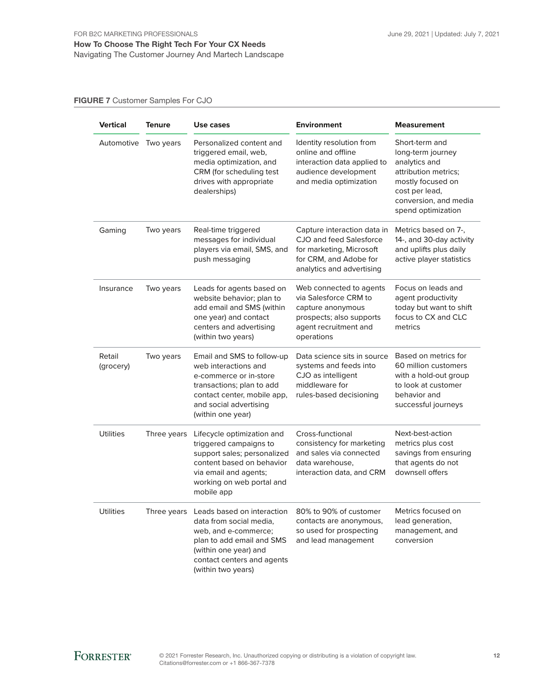FIGURE 7 Customer Samples For CJO

| Vertical            | <b>Tenure</b> | Use cases                                                                                                                                                                               | <b>Environment</b>                                                                                                                        | <b>Measurement</b>                                                                                                                                                 |
|---------------------|---------------|-----------------------------------------------------------------------------------------------------------------------------------------------------------------------------------------|-------------------------------------------------------------------------------------------------------------------------------------------|--------------------------------------------------------------------------------------------------------------------------------------------------------------------|
| Automotive          | Two years     | Personalized content and<br>triggered email, web,<br>media optimization, and<br>CRM (for scheduling test<br>drives with appropriate<br>dealerships)                                     | Identity resolution from<br>online and offline<br>interaction data applied to<br>audience development<br>and media optimization           | Short-term and<br>long-term journey<br>analytics and<br>attribution metrics;<br>mostly focused on<br>cost per lead,<br>conversion, and media<br>spend optimization |
| Gaming              | Two years     | Real-time triggered<br>messages for individual<br>players via email, SMS, and<br>push messaging                                                                                         | Capture interaction data in<br>CJO and feed Salesforce<br>for marketing, Microsoft<br>for CRM, and Adobe for<br>analytics and advertising | Metrics based on 7-,<br>14-, and 30-day activity<br>and uplifts plus daily<br>active player statistics                                                             |
| Insurance           | Two years     | Leads for agents based on<br>website behavior; plan to<br>add email and SMS (within<br>one year) and contact<br>centers and advertising<br>(within two years)                           | Web connected to agents<br>via Salesforce CRM to<br>capture anonymous<br>prospects; also supports<br>agent recruitment and<br>operations  | Focus on leads and<br>agent productivity<br>today but want to shift<br>focus to CX and CLC<br>metrics                                                              |
| Retail<br>(grocery) | Two years     | Email and SMS to follow-up<br>web interactions and<br>e-commerce or in-store<br>transactions; plan to add<br>contact center, mobile app,<br>and social advertising<br>(within one year) | Data science sits in source<br>systems and feeds into<br>CJO as intelligent<br>middleware for<br>rules-based decisioning                  | Based on metrics for<br>60 million customers<br>with a hold-out group<br>to look at customer<br>behavior and<br>successful journeys                                |
| <b>Utilities</b>    | Three years   | Lifecycle optimization and<br>triggered campaigns to<br>support sales; personalized<br>content based on behavior<br>via email and agents;<br>working on web portal and<br>mobile app    | Cross-functional<br>consistency for marketing<br>and sales via connected<br>data warehouse.<br>interaction data, and CRM                  | Next-best-action<br>metrics plus cost<br>savings from ensuring<br>that agents do not<br>downsell offers                                                            |
| <b>Utilities</b>    | Three years   | Leads based on interaction<br>data from social media,<br>web, and e-commerce;<br>plan to add email and SMS<br>(within one year) and<br>contact centers and agents<br>(within two years) | 80% to 90% of customer<br>contacts are anonymous,<br>so used for prospecting<br>and lead management                                       | Metrics focused on<br>lead generation,<br>management, and<br>conversion                                                                                            |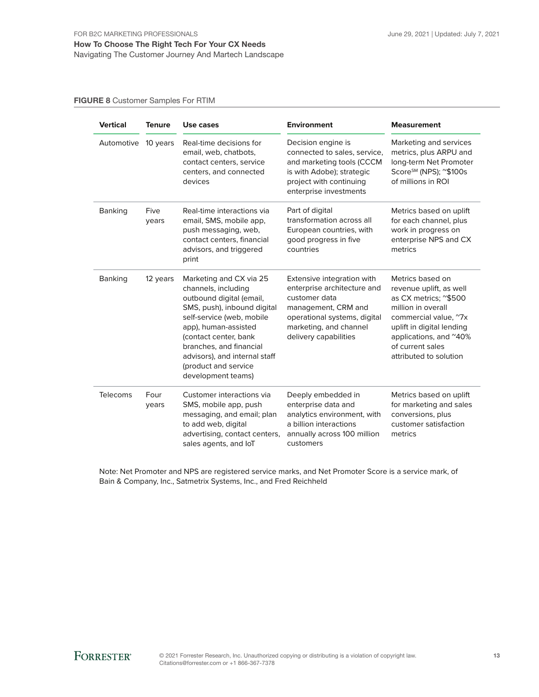FIGURE 8 Customer Samples For RTIM

| <b>Vertical</b> | <b>Tenure</b> | Use cases                                                                                                                                                                                                                                                                                         | <b>Environment</b>                                                                                                                                                                   | Measurement                                                                                                                                                                                                              |
|-----------------|---------------|---------------------------------------------------------------------------------------------------------------------------------------------------------------------------------------------------------------------------------------------------------------------------------------------------|--------------------------------------------------------------------------------------------------------------------------------------------------------------------------------------|--------------------------------------------------------------------------------------------------------------------------------------------------------------------------------------------------------------------------|
| Automotive      | 10 years      | Real-time decisions for<br>email, web, chatbots,<br>contact centers, service<br>centers, and connected<br>devices                                                                                                                                                                                 | Decision engine is<br>connected to sales, service,<br>and marketing tools (CCCM<br>is with Adobe); strategic<br>project with continuing<br>enterprise investments                    | Marketing and services<br>metrics, plus ARPU and<br>long-term Net Promoter<br>Score <sup>sM</sup> (NPS); <sup>~</sup> \$100s<br>of millions in ROI                                                                       |
| <b>Banking</b>  | Five<br>years | Real-time interactions via<br>email, SMS, mobile app,<br>push messaging, web,<br>contact centers, financial<br>advisors, and triggered<br>print                                                                                                                                                   | Part of digital<br>transformation across all<br>European countries, with<br>good progress in five<br>countries                                                                       | Metrics based on uplift<br>for each channel, plus<br>work in progress on<br>enterprise NPS and CX<br>metrics                                                                                                             |
| <b>Banking</b>  | 12 years      | Marketing and CX via 25<br>channels, including<br>outbound digital (email,<br>SMS, push), inbound digital<br>self-service (web, mobile<br>app), human-assisted<br>(contact center, bank<br>branches, and financial<br>advisors), and internal staff<br>(product and service<br>development teams) | Extensive integration with<br>enterprise architecture and<br>customer data<br>management, CRM and<br>operational systems, digital<br>marketing, and channel<br>delivery capabilities | Metrics based on<br>revenue uplift, as well<br>as CX metrics; ~\$500<br>million in overall<br>commercial value, "7x<br>uplift in digital lending<br>applications, and ~40%<br>of current sales<br>attributed to solution |
| Telecoms        | Four<br>years | Customer interactions via<br>SMS, mobile app, push<br>messaging, and email; plan<br>to add web, digital<br>advertising, contact centers,<br>sales agents, and IoT                                                                                                                                 | Deeply embedded in<br>enterprise data and<br>analytics environment, with<br>a billion interactions<br>annually across 100 million<br>customers                                       | Metrics based on uplift<br>for marketing and sales<br>conversions, plus<br>customer satisfaction<br>metrics                                                                                                              |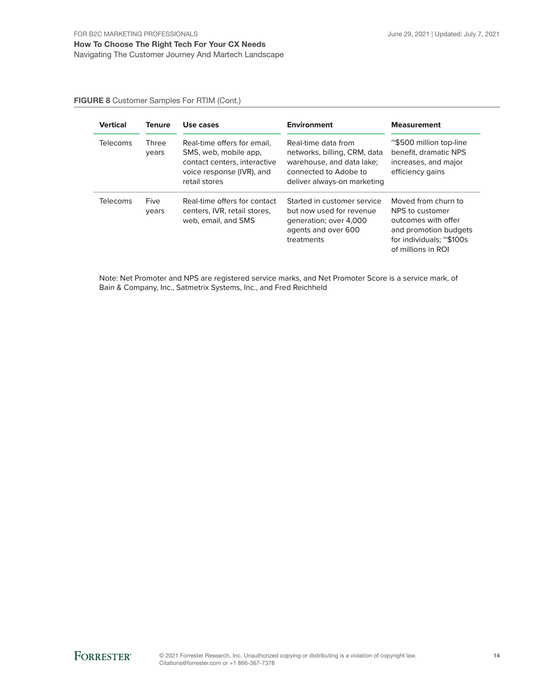#### FIGURE 8 Customer Samples For RTIM (Cont.)

| <b>Vertical</b> | <b>Tenure</b>         | Use cases                                                                                                                          | <b>Environment</b>                                                                                                                       | <b>Measurement</b>                                                                                                                       |
|-----------------|-----------------------|------------------------------------------------------------------------------------------------------------------------------------|------------------------------------------------------------------------------------------------------------------------------------------|------------------------------------------------------------------------------------------------------------------------------------------|
| <b>Telecoms</b> | <b>Three</b><br>years | Real-time offers for email.<br>SMS, web, mobile app.<br>contact centers, interactive<br>voice response (IVR), and<br>retail stores | Real-time data from<br>networks, billing, CRM, data<br>warehouse, and data lake;<br>connected to Adobe to<br>deliver always-on marketing | ~\$500 million top-line<br>benefit, dramatic NPS<br>increases, and major<br>efficiency gains                                             |
| <b>Telecoms</b> | Five<br>years         | Real-time offers for contact<br>centers, IVR, retail stores,<br>web, email, and SMS                                                | Started in customer service<br>but now used for revenue<br>generation; over 4,000<br>agents and over 600<br>treatments                   | Moved from churn to<br>NPS to customer<br>outcomes with offer<br>and promotion budgets<br>for individuals; ~\$100s<br>of millions in ROI |

Note: Net Promoter and NPS are registered service marks, and Net Promoter Score is a service mark, of Bain & Company, Inc., Satmetrix Systems, Inc., and Fred Reichheld

**FORRESTER®**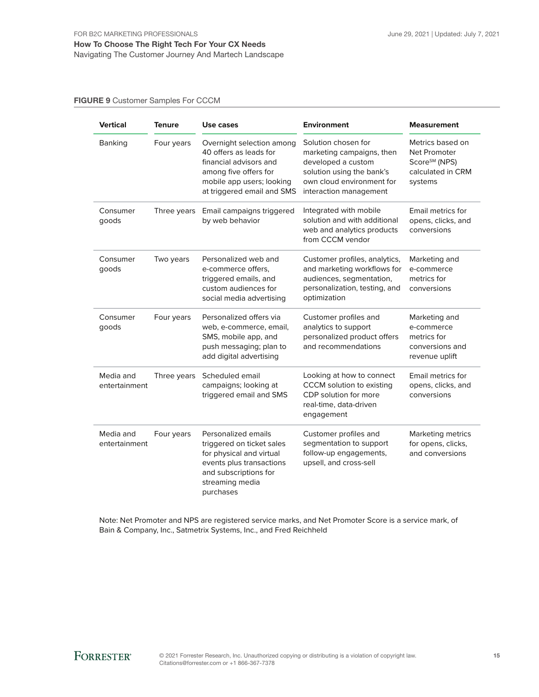#### FIGURE 9 Customer Samples For CCCM

| <b>Vertical</b>            | <b>Tenure</b> | Use cases                                                                                                                                                         | <b>Environment</b>                                                                                                                                         | <b>Measurement</b>                                                                            |
|----------------------------|---------------|-------------------------------------------------------------------------------------------------------------------------------------------------------------------|------------------------------------------------------------------------------------------------------------------------------------------------------------|-----------------------------------------------------------------------------------------------|
| <b>Banking</b>             | Four years    | Overnight selection among<br>40 offers as leads for<br>financial advisors and<br>among five offers for<br>mobile app users; looking<br>at triggered email and SMS | Solution chosen for<br>marketing campaigns, then<br>developed a custom<br>solution using the bank's<br>own cloud environment for<br>interaction management | Metrics based on<br>Net Promoter<br>Score <sup>sM</sup> (NPS)<br>calculated in CRM<br>systems |
| Consumer<br>goods          | Three years   | Email campaigns triggered<br>by web behavior                                                                                                                      | Integrated with mobile<br>solution and with additional<br>web and analytics products<br>from CCCM vendor                                                   | Email metrics for<br>opens, clicks, and<br>conversions                                        |
| Consumer<br>goods          | Two years     | Personalized web and<br>e-commerce offers.<br>triggered emails, and<br>custom audiences for<br>social media advertising                                           | Customer profiles, analytics,<br>and marketing workflows for<br>audiences, segmentation,<br>personalization, testing, and<br>optimization                  | Marketing and<br>e-commerce<br>metrics for<br>conversions                                     |
| Consumer<br>goods          | Four years    | Personalized offers via<br>web, e-commerce, email,<br>SMS, mobile app, and<br>push messaging; plan to<br>add digital advertising                                  | Customer profiles and<br>analytics to support<br>personalized product offers<br>and recommendations                                                        | Marketing and<br>e-commerce<br>metrics for<br>conversions and<br>revenue uplift               |
| Media and<br>entertainment | Three years   | Scheduled email<br>campaigns; looking at<br>triggered email and SMS                                                                                               | Looking at how to connect<br>CCCM solution to existing<br>CDP solution for more<br>real-time, data-driven<br>engagement                                    | Email metrics for<br>opens, clicks, and<br>conversions                                        |
| Media and<br>entertainment | Four years    | Personalized emails<br>triggered on ticket sales<br>for physical and virtual<br>events plus transactions<br>and subscriptions for<br>streaming media<br>purchases | Customer profiles and<br>segmentation to support<br>follow-up engagements,<br>upsell, and cross-sell                                                       | Marketing metrics<br>for opens, clicks,<br>and conversions                                    |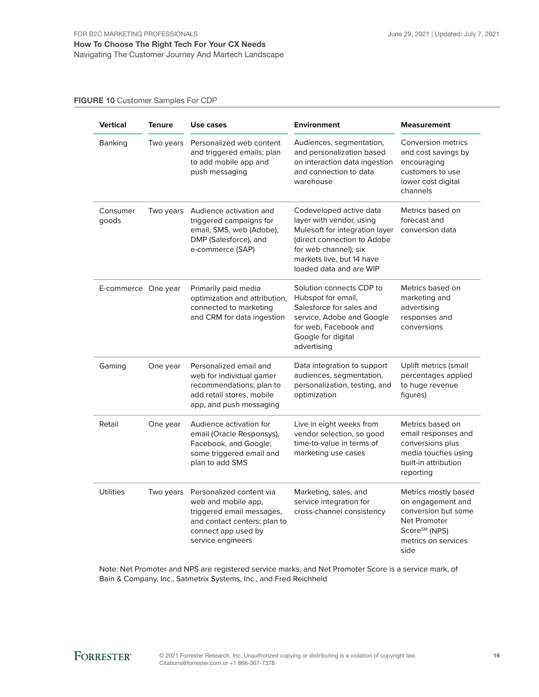FIGURE 10 Customer Samples For CDP

| <b>Vertical</b>     | <b>Tenure</b> | Use cases                                                                                                                                                | <b>Environment</b>                                                                                                                                                                                    | <b>Measurement</b>                                                                                                                           |
|---------------------|---------------|----------------------------------------------------------------------------------------------------------------------------------------------------------|-------------------------------------------------------------------------------------------------------------------------------------------------------------------------------------------------------|----------------------------------------------------------------------------------------------------------------------------------------------|
| Banking             | Two years     | Personalized web content<br>and triggered emails; plan<br>to add mobile app and<br>push messaging                                                        | Audiences, segmentation,<br>and personalization based<br>on interaction data ingestion<br>and connection to data<br>warehouse                                                                         | Conversion metrics<br>and cost savings by<br>encouraging<br>customers to use<br>lower cost digital<br>channels                               |
| Consumer<br>goods   | Two years     | Audience activation and<br>triggered campaigns for<br>email, SMS, web (Adobe),<br>DMP (Salesforce), and<br>e-commerce (SAP)                              | Codeveloped active data<br>layer with vendor, using<br>Mulesoft for integration layer<br>(direct connection to Adobe<br>for web channel); six<br>markets live, but 14 have<br>loaded data and are WIP | Metrics based on<br>forecast and<br>conversion data                                                                                          |
| E-commerce One year |               | Primarily paid media<br>optimization and attribution,<br>connected to marketing<br>and CRM for data ingestion                                            | Solution connects CDP to<br>Hubspot for email,<br>Salesforce for sales and<br>service, Adobe and Google<br>for web, Facebook and<br>Google for digital<br>advertising                                 | Metrics based on<br>marketing and<br>advertising<br>responses and<br>conversions                                                             |
| Gaming              | One year      | Personalized email and<br>web for individual gamer<br>recommendations; plan to<br>add retail stores, mobile<br>app, and push messaging                   | Data integration to support<br>audiences, segmentation,<br>personalization, testing, and<br>optimization                                                                                              | Uplift metrics (small<br>percentages applied<br>to huge revenue<br>figures)                                                                  |
| Retail              | One year      | Audience activation for<br>email (Oracle Responsys),<br>Facebook, and Google;<br>some triggered email and<br>plan to add SMS                             | Live in eight weeks from<br>vendor selection, so good<br>time-to-value in terms of<br>marketing use cases                                                                                             | Metrics based on<br>email responses and<br>conversions plus<br>media touches using<br>built-in attribution<br>reporting                      |
| <b>Utilities</b>    | Two years     | Personalized content via<br>web and mobile app,<br>triggered email messages,<br>and contact centers; plan to<br>connect app used by<br>service engineers | Marketing, sales, and<br>service integration for<br>cross-channel consistency                                                                                                                         | Metrics mostly based<br>on engagement and<br>conversion but some<br>Net Promoter<br>Score <sup>SM</sup> (NPS)<br>metrics on services<br>side |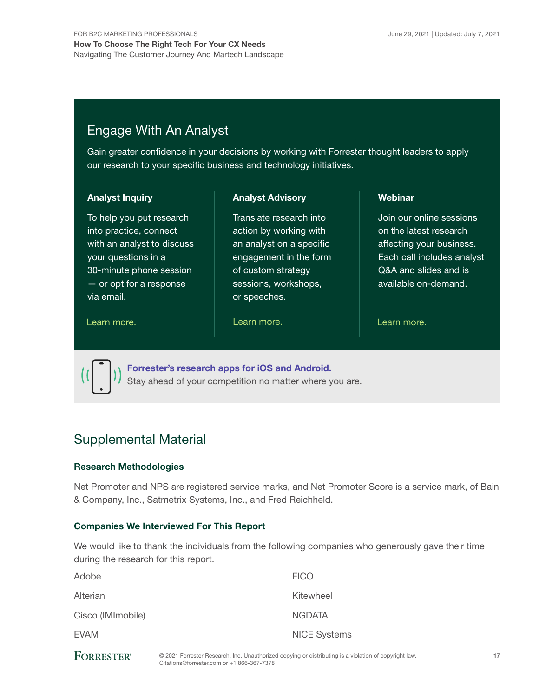# Engage With An Analyst

Gain greater confidence in your decisions by working with Forrester thought leaders to apply our research to your specific business and technology initiatives.

#### Analyst Inquiry

To help you put research into practice, connect with an analyst to discuss your questions in a 30-minute phone session — or opt for a response via email.

#### Analyst Advisory

Translate research into action by working with an analyst on a specific engagement in the form of custom strategy sessions, workshops, or speeches.

#### [Learn more.](https://www.forrester.com/events?N=10006+5025) The contract of the Learn more. The contract of the Learn more.

Webinar

Join our online sessions on the latest research affecting your business. Each call includes analyst Q&A and slides and is available on-demand.



[Forrester's research apps for iOS and Android.](http://www.forrester.com/app) Stay ahead of your competition no matter where you are.

# Supplemental Material

#### Research Methodologies

Net Promoter and NPS are registered service marks, and Net Promoter Score is a service mark, of Bain & Company, Inc., Satmetrix Systems, Inc., and Fred Reichheld.

#### Companies We Interviewed For This Report

We would like to thank the individuals from the following companies who generously gave their time during the research for this report.

| Adobe             | <b>FICO</b>         |
|-------------------|---------------------|
| Alterian          | Kitewheel           |
| Cisco (IMImobile) | <b>NGDATA</b>       |
| <b>EVAM</b>       | <b>NICE Systems</b> |
|                   |                     |

| <b>FORRESTER®</b> |
|-------------------|
|-------------------|

© 2021 Forrester Research, Inc. Unauthorized copying or distributing is a violation of copyright law. Citations@forrester.com or +1 866-367-7378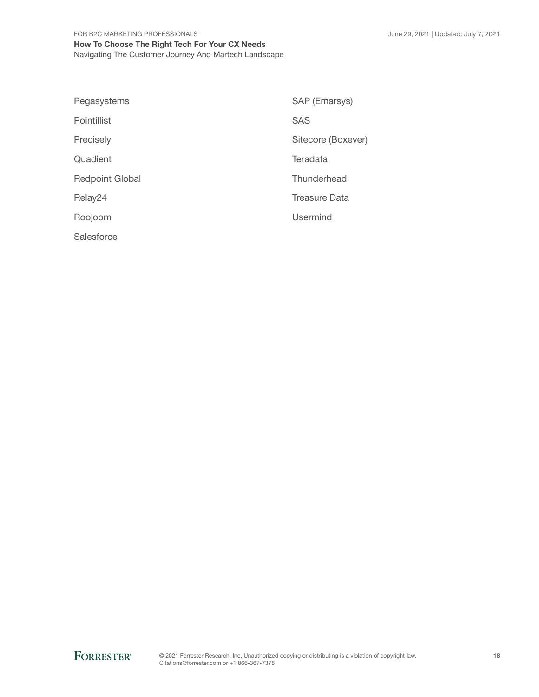#### FOR B2C MARKETING PROFESSIONALS How To Choose The Right Tech For Your CX Needs Navigating The Customer Journey And Martech Landscape

| Pegasystems            | SAP (Emarsys)        |
|------------------------|----------------------|
| Pointillist            | <b>SAS</b>           |
| Precisely              | Sitecore (Boxever)   |
| Quadient               | Teradata             |
| <b>Redpoint Global</b> | Thunderhead          |
| Relay24                | <b>Treasure Data</b> |
| Roojoom                | <b>Usermind</b>      |
| Salesforce             |                      |